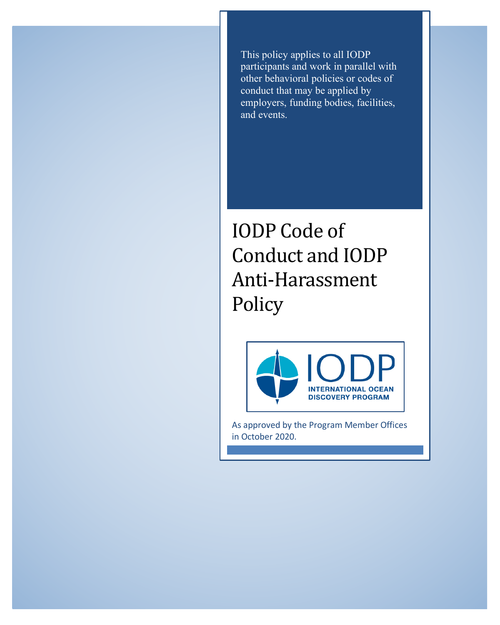This policy applies to all IODP participants and work in parallel with other behavioral policies or codes of conduct that may be applied by employers, funding bodies, facilities, and events.

IODP Code of Conduct and IODP Anti-Harassment Policy



As approved by the Program Member Offices in October 2020.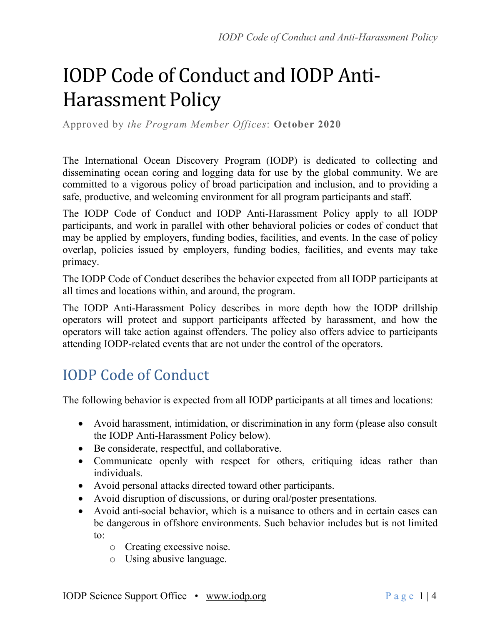# IODP Code of Conduct and IODP Anti-Harassment Policy

Approved by *the Program Member Offices*: **October 2020**

The International Ocean Discovery Program (IODP) is dedicated to collecting and disseminating ocean coring and logging data for use by the global community. We are committed to a vigorous policy of broad participation and inclusion, and to providing a safe, productive, and welcoming environment for all program participants and staff.

The IODP Code of Conduct and IODP Anti-Harassment Policy apply to all IODP participants, and work in parallel with other behavioral policies or codes of conduct that may be applied by employers, funding bodies, facilities, and events. In the case of policy overlap, policies issued by employers, funding bodies, facilities, and events may take primacy.

The IODP Code of Conduct describes the behavior expected from all IODP participants at all times and locations within, and around, the program.

The IODP Anti-Harassment Policy describes in more depth how the IODP drillship operators will protect and support participants affected by harassment, and how the operators will take action against offenders. The policy also offers advice to participants attending IODP-related events that are not under the control of the operators.

## IODP Code of Conduct

The following behavior is expected from all IODP participants at all times and locations:

- Avoid harassment, intimidation, or discrimination in any form (please also consult the IODP Anti-Harassment Policy below).
- Be considerate, respectful, and collaborative.
- Communicate openly with respect for others, critiquing ideas rather than individuals.
- Avoid personal attacks directed toward other participants.
- Avoid disruption of discussions, or during oral/poster presentations.
- Avoid anti-social behavior, which is a nuisance to others and in certain cases can be dangerous in offshore environments. Such behavior includes but is not limited to:
	- o Creating excessive noise.
	- o Using abusive language.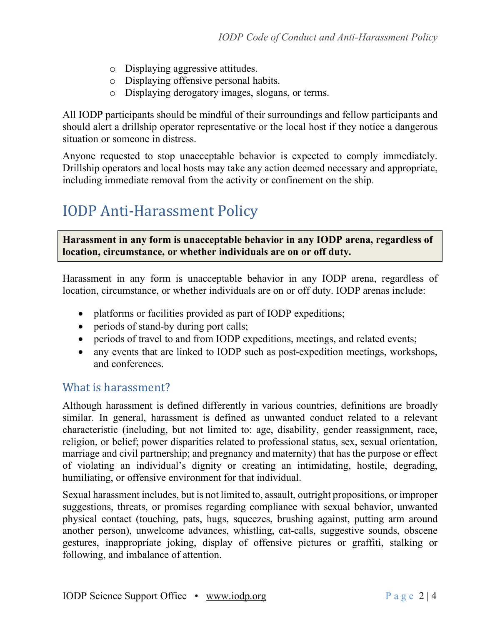- o Displaying aggressive attitudes.
- o Displaying offensive personal habits.
- o Displaying derogatory images, slogans, or terms.

All IODP participants should be mindful of their surroundings and fellow participants and should alert a drillship operator representative or the local host if they notice a dangerous situation or someone in distress.

Anyone requested to stop unacceptable behavior is expected to comply immediately. Drillship operators and local hosts may take any action deemed necessary and appropriate, including immediate removal from the activity or confinement on the ship.

## **IODP Anti-Harassment Policy**

**Harassment in any form is unacceptable behavior in any IODP arena, regardless of location, circumstance, or whether individuals are on or off duty.** 

Harassment in any form is unacceptable behavior in any IODP arena, regardless of location, circumstance, or whether individuals are on or off duty. IODP arenas include:

- platforms or facilities provided as part of IODP expeditions;
- periods of stand-by during port calls;
- periods of travel to and from IODP expeditions, meetings, and related events;
- any events that are linked to IODP such as post-expedition meetings, workshops, and conferences.

#### What is harassment?

Although harassment is defined differently in various countries, definitions are broadly similar. In general, harassment is defined as unwanted conduct related to a relevant characteristic (including, but not limited to: age, disability, gender reassignment, race, religion, or belief; power disparities related to professional status, sex, sexual orientation, marriage and civil partnership; and pregnancy and maternity) that has the purpose or effect of violating an individual's dignity or creating an intimidating, hostile, degrading, humiliating, or offensive environment for that individual.

Sexual harassment includes, but is not limited to, assault, outright propositions, or improper suggestions, threats, or promises regarding compliance with sexual behavior, unwanted physical contact (touching, pats, hugs, squeezes, brushing against, putting arm around another person), unwelcome advances, whistling, cat-calls, suggestive sounds, obscene gestures, inappropriate joking, display of offensive pictures or graffiti, stalking or following, and imbalance of attention.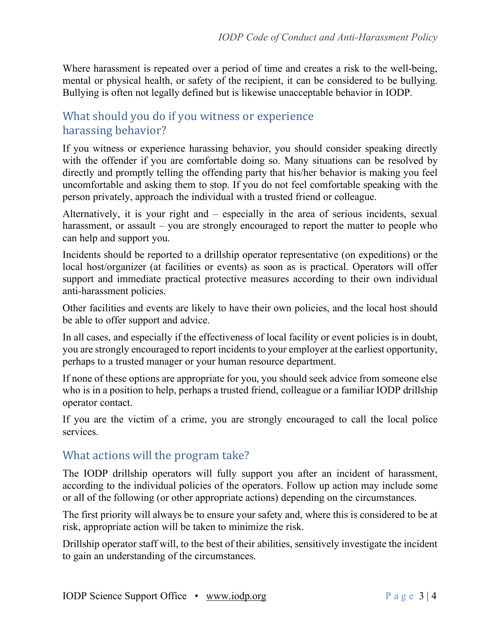Where harassment is repeated over a period of time and creates a risk to the well-being, mental or physical health, or safety of the recipient, it can be considered to be bullying. Bullying is often not legally defined but is likewise unacceptable behavior in IODP.

### What should you do if you witness or experience harassing behavior?

If you witness or experience harassing behavior, you should consider speaking directly with the offender if you are comfortable doing so. Many situations can be resolved by directly and promptly telling the offending party that his/her behavior is making you feel uncomfortable and asking them to stop. If you do not feel comfortable speaking with the person privately, approach the individual with a trusted friend or colleague.

Alternatively, it is your right and – especially in the area of serious incidents, sexual harassment, or assault – you are strongly encouraged to report the matter to people who can help and support you.

Incidents should be reported to a drillship operator representative (on expeditions) or the local host/organizer (at facilities or events) as soon as is practical. Operators will offer support and immediate practical protective measures according to their own individual anti-harassment policies.

Other facilities and events are likely to have their own policies, and the local host should be able to offer support and advice.

In all cases, and especially if the effectiveness of local facility or event policies is in doubt, you are strongly encouraged to report incidents to your employer at the earliest opportunity, perhaps to a trusted manager or your human resource department.

If none of these options are appropriate for you, you should seek advice from someone else who is in a position to help, perhaps a trusted friend, colleague or a familiar IODP drillship operator contact.

If you are the victim of a crime, you are strongly encouraged to call the local police services.

#### What actions will the program take?

The IODP drillship operators will fully support you after an incident of harassment, according to the individual policies of the operators. Follow up action may include some or all of the following (or other appropriate actions) depending on the circumstances.

The first priority will always be to ensure your safety and, where this is considered to be at risk, appropriate action will be taken to minimize the risk.

Drillship operator staff will, to the best of their abilities, sensitively investigate the incident to gain an understanding of the circumstances.